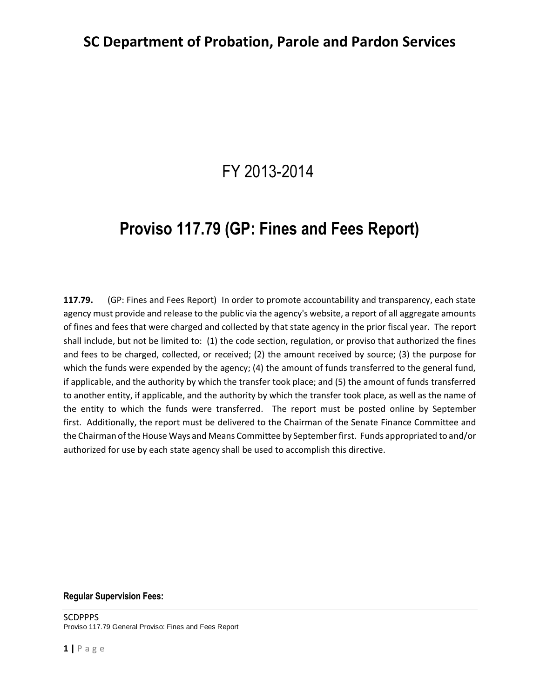# FY 2013-2014

# **Proviso 117.79 (GP: Fines and Fees Report)**

**117.79.** (GP: Fines and Fees Report) In order to promote accountability and transparency, each state agency must provide and release to the public via the agency's website, a report of all aggregate amounts of fines and fees that were charged and collected by that state agency in the prior fiscal year. The report shall include, but not be limited to: (1) the code section, regulation, or proviso that authorized the fines and fees to be charged, collected, or received; (2) the amount received by source; (3) the purpose for which the funds were expended by the agency; (4) the amount of funds transferred to the general fund, if applicable, and the authority by which the transfer took place; and (5) the amount of funds transferred to another entity, if applicable, and the authority by which the transfer took place, as well as the name of the entity to which the funds were transferred. The report must be posted online by September first. Additionally, the report must be delivered to the Chairman of the Senate Finance Committee and the Chairman of the House Ways and Means Committee by September first. Funds appropriated to and/or authorized for use by each state agency shall be used to accomplish this directive.

#### **Regular Supervision Fees:**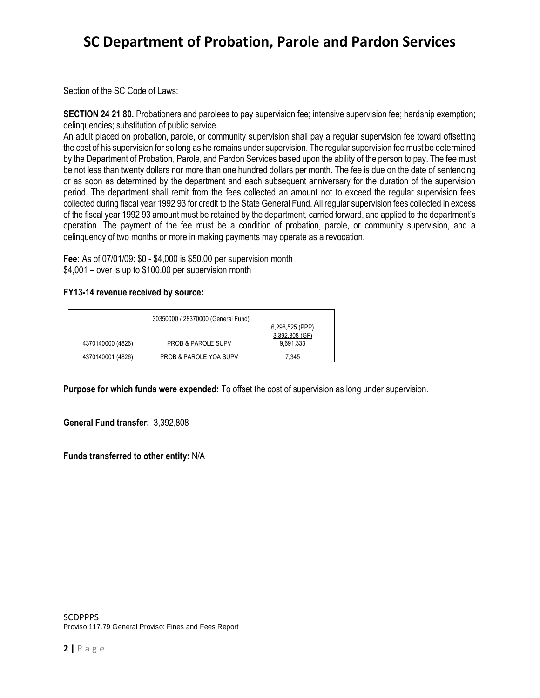Section of the SC Code of Laws:

**SECTION 24 21 80.** Probationers and parolees to pay supervision fee; intensive supervision fee; hardship exemption; delinquencies; substitution of public service.

An adult placed on probation, parole, or community supervision shall pay a regular supervision fee toward offsetting the cost of his supervision for so long as he remains under supervision. The regular supervision fee must be determined by the Department of Probation, Parole, and Pardon Services based upon the ability of the person to pay. The fee must be not less than twenty dollars nor more than one hundred dollars per month. The fee is due on the date of sentencing or as soon as determined by the department and each subsequent anniversary for the duration of the supervision period. The department shall remit from the fees collected an amount not to exceed the regular supervision fees collected during fiscal year 1992 93 for credit to the State General Fund. All regular supervision fees collected in excess of the fiscal year 1992 93 amount must be retained by the department, carried forward, and applied to the department's operation. The payment of the fee must be a condition of probation, parole, or community supervision, and a delinquency of two months or more in making payments may operate as a revocation.

**Fee:** As of 07/01/09: \$0 - \$4,000 is \$50.00 per supervision month \$4,001 – over is up to \$100.00 per supervision month

#### **FY13-14 revenue received by source:**

|                   | 30350000 / 28370000 (General Fund) |                                   |
|-------------------|------------------------------------|-----------------------------------|
|                   |                                    | 6,298,525 (PPP)<br>3,392,808 (GF) |
| 4370140000 (4826) | <b>PROB &amp; PAROLE SUPV</b>      | 9,691,333                         |
| 4370140001 (4826) | <b>PROB &amp; PAROLE YOA SUPV</b>  | 7.345                             |

**Purpose for which funds were expended:** To offset the cost of supervision as long under supervision.

**General Fund transfer:** 3,392,808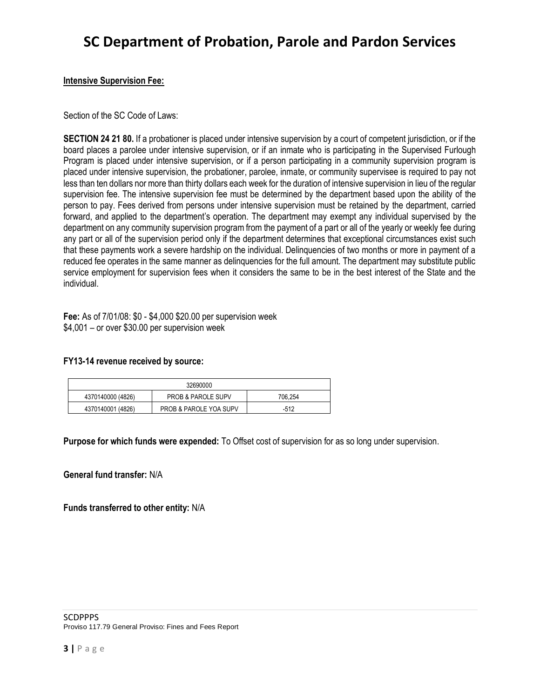#### **Intensive Supervision Fee:**

Section of the SC Code of Laws:

**SECTION 24 21 80.** If a probationer is placed under intensive supervision by a court of competent jurisdiction, or if the board places a parolee under intensive supervision, or if an inmate who is participating in the Supervised Furlough Program is placed under intensive supervision, or if a person participating in a community supervision program is placed under intensive supervision, the probationer, parolee, inmate, or community supervisee is required to pay not less than ten dollars nor more than thirty dollars each week for the duration of intensive supervision in lieu of the regular supervision fee. The intensive supervision fee must be determined by the department based upon the ability of the person to pay. Fees derived from persons under intensive supervision must be retained by the department, carried forward, and applied to the department's operation. The department may exempt any individual supervised by the department on any community supervision program from the payment of a part or all of the yearly or weekly fee during any part or all of the supervision period only if the department determines that exceptional circumstances exist such that these payments work a severe hardship on the individual. Delinquencies of two months or more in payment of a reduced fee operates in the same manner as delinquencies for the full amount. The department may substitute public service employment for supervision fees when it considers the same to be in the best interest of the State and the individual.

**Fee:** As of 7/01/08: \$0 - \$4,000 \$20.00 per supervision week \$4,001 – or over \$30.00 per supervision week

#### **FY13-14 revenue received by source:**

| 32690000          |                                   |         |
|-------------------|-----------------------------------|---------|
| 4370140000 (4826) | <b>PROB &amp; PAROLE SUPV</b>     | 706.254 |
| 4370140001 (4826) | <b>PROB &amp; PAROLE YOA SUPV</b> | $-512$  |

**Purpose for which funds were expended:** To Offset cost of supervision for as so long under supervision.

**General fund transfer:** N/A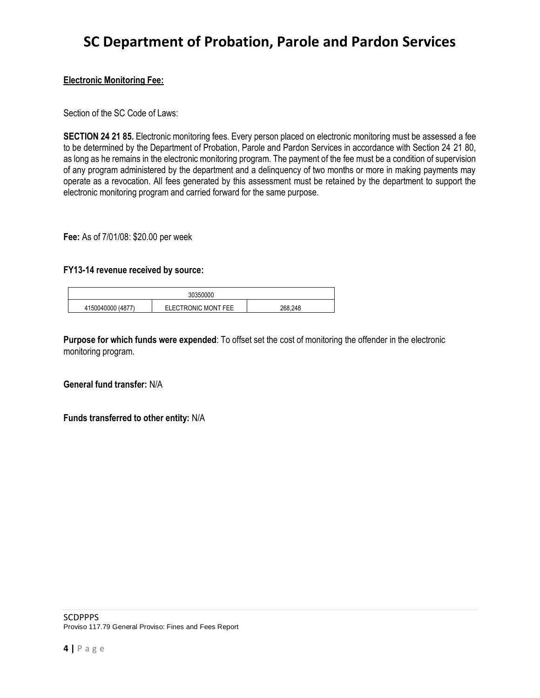#### **Electronic Monitoring Fee:**

Section of the SC Code of Laws:

**SECTION 24 21 85.** Electronic monitoring fees. Every person placed on electronic monitoring must be assessed a fee to be determined by the Department of Probation, Parole and Pardon Services in accordance with Section 24 21 80, as long as he remains in the electronic monitoring program. The payment of the fee must be a condition of supervision of any program administered by the department and a delinquency of two months or more in making payments may operate as a revocation. All fees generated by this assessment must be retained by the department to support the electronic monitoring program and carried forward for the same purpose.

**Fee:** As of 7/01/08: \$20.00 per week

#### **FY13-14 revenue received by source:**

|                       | ን350000             |         |
|-----------------------|---------------------|---------|
| 1150040000<br>'4877 ر | ELECTRONIC MONT FEE | 268.248 |

**Purpose for which funds were expended**: To offset set the cost of monitoring the offender in the electronic monitoring program.

#### **General fund transfer:** N/A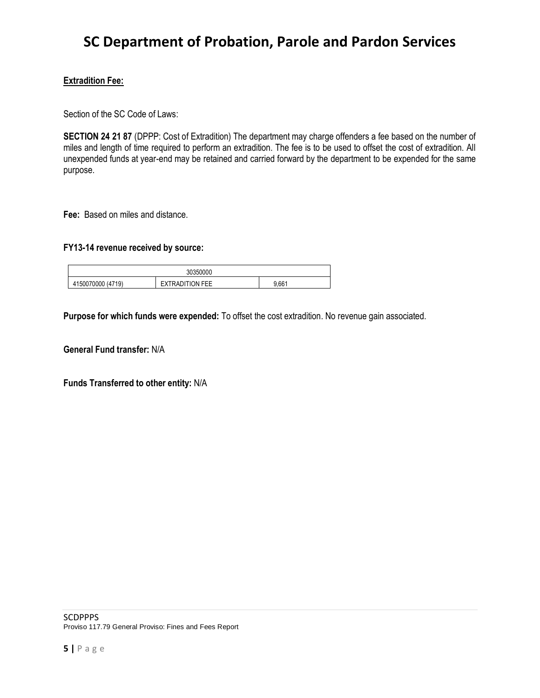#### **Extradition Fee:**

Section of the SC Code of Laws:

**SECTION 24 21 87** (DPPP: Cost of Extradition) The department may charge offenders a fee based on the number of miles and length of time required to perform an extradition. The fee is to be used to offset the cost of extradition. All unexpended funds at year-end may be retained and carried forward by the department to be expended for the same purpose.

**Fee:** Based on miles and distance.

#### **FY13-14 revenue received by source:**

| 350000 |                           |                              |       |
|--------|---------------------------|------------------------------|-------|
|        | .150070000 (4719)<br>41 T | <b><i>KTRADITION FEE</i></b> | 9.661 |

**Purpose for which funds were expended:** To offset the cost extradition. No revenue gain associated.

**General Fund transfer:** N/A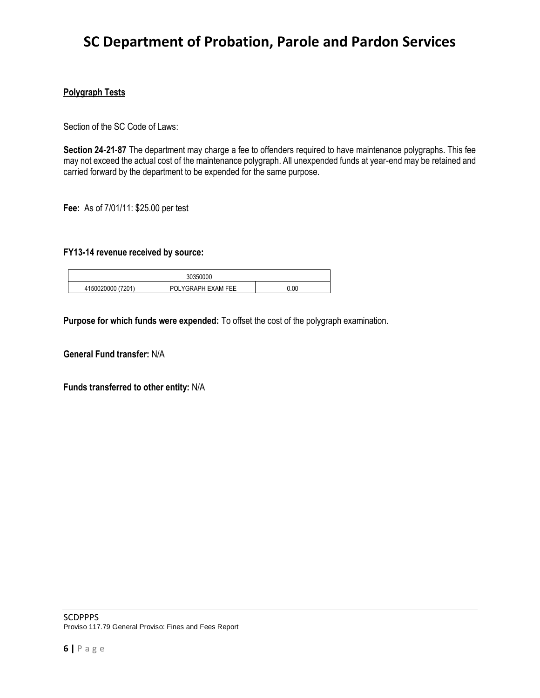#### **Polygraph Tests**

Section of the SC Code of Laws:

**Section 24-21-87** The department may charge a fee to offenders required to have maintenance polygraphs. This fee may not exceed the actual cost of the maintenance polygraph. All unexpended funds at year-end may be retained and carried forward by the department to be expended for the same purpose.

**Fee:** As of 7/01/11: \$25.00 per test

#### **FY13-14 revenue received by source:**

| 30350000          |                     |      |
|-------------------|---------------------|------|
| 4150020000 (7201) | POI YGRAPH FXAM FFF | 0.00 |

**Purpose for which funds were expended:** To offset the cost of the polygraph examination.

**General Fund transfer:** N/A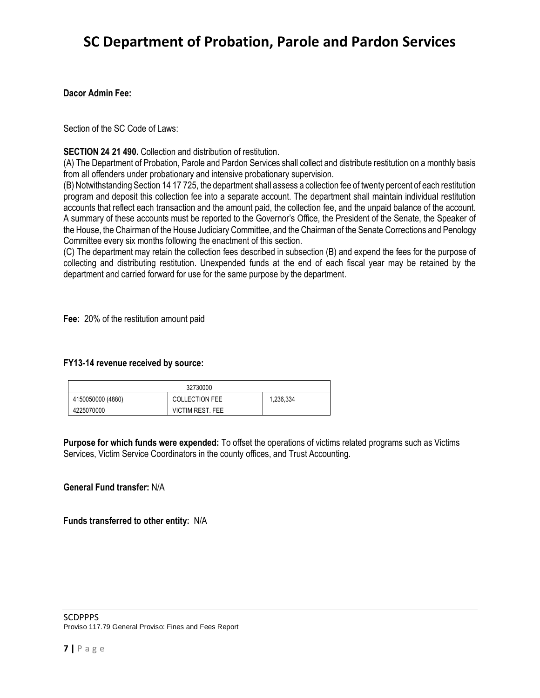#### **Dacor Admin Fee:**

Section of the SC Code of Laws:

#### **SECTION 24 21 490.** Collection and distribution of restitution.

(A) The Department of Probation, Parole and Pardon Services shall collect and distribute restitution on a monthly basis from all offenders under probationary and intensive probationary supervision.

(B) Notwithstanding Section 14 17 725, the department shall assess a collection fee of twenty percent of each restitution program and deposit this collection fee into a separate account. The department shall maintain individual restitution accounts that reflect each transaction and the amount paid, the collection fee, and the unpaid balance of the account. A summary of these accounts must be reported to the Governor's Office, the President of the Senate, the Speaker of the House, the Chairman of the House Judiciary Committee, and the Chairman of the Senate Corrections and Penology Committee every six months following the enactment of this section.

(C) The department may retain the collection fees described in subsection (B) and expend the fees for the purpose of collecting and distributing restitution. Unexpended funds at the end of each fiscal year may be retained by the department and carried forward for use for the same purpose by the department.

**Fee:** 20% of the restitution amount paid

#### **FY13-14 revenue received by source:**

|                   | 32730000                |           |
|-------------------|-------------------------|-----------|
| 4150050000 (4880) | <b>COLLECTION FEE</b>   | 1,236,334 |
| 4225070000        | <b>VICTIM REST. FEE</b> |           |

**Purpose for which funds were expended:** To offset the operations of victims related programs such as Victims Services, Victim Service Coordinators in the county offices, and Trust Accounting.

#### **General Fund transfer:** N/A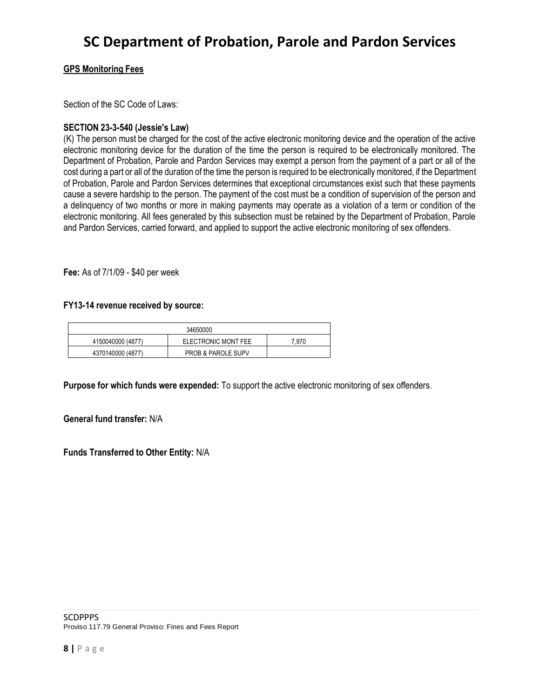#### **GPS Monitoring Fees**

Section of the SC Code of Laws:

#### **SECTION 23-3-540 (Jessie's Law)**

(K) The person must be charged for the cost of the active electronic monitoring device and the operation of the active electronic monitoring device for the duration of the time the person is required to be electronically monitored. The Department of Probation, Parole and Pardon Services may exempt a person from the payment of a part or all of the cost during a part or all of the duration of the time the person is required to be electronically monitored, if the Department of Probation, Parole and Pardon Services determines that exceptional circumstances exist such that these payments cause a severe hardship to the person. The payment of the cost must be a condition of supervision of the person and a delinquency of two months or more in making payments may operate as a violation of a term or condition of the electronic monitoring. All fees generated by this subsection must be retained by the Department of Probation, Parole and Pardon Services, carried forward, and applied to support the active electronic monitoring of sex offenders.

**Fee:** As of 7/1/09 - \$40 per week

#### **FY13-14 revenue received by source:**

|                   | 34650000                      |       |
|-------------------|-------------------------------|-------|
| 4150040000 (4877) | ELECTRONIC MONT FEE           | 7.970 |
| 4370140000 (4877) | <b>PROB &amp; PAROLE SUPV</b> |       |

**Purpose for which funds were expended:** To support the active electronic monitoring of sex offenders.

**General fund transfer:** N/A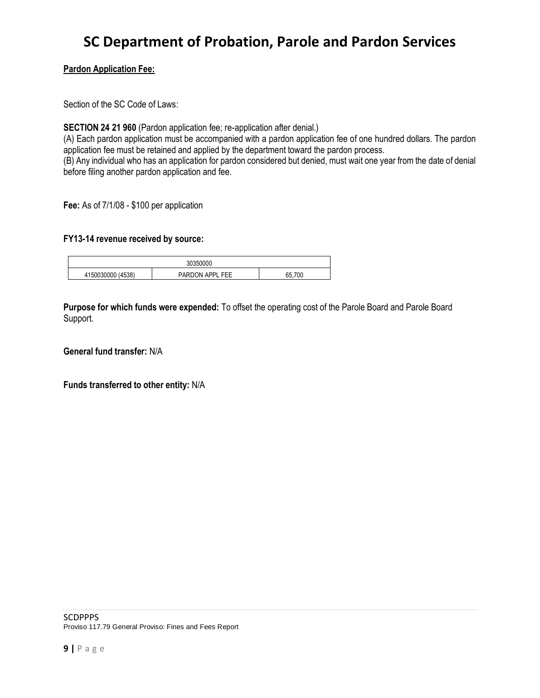#### **Pardon Application Fee:**

Section of the SC Code of Laws:

**SECTION 24 21 960** (Pardon application fee; re-application after denial.)

(A) Each pardon application must be accompanied with a pardon application fee of one hundred dollars. The pardon application fee must be retained and applied by the department toward the pardon process. (B) Any individual who has an application for pardon considered but denied, must wait one year from the date of denial before filing another pardon application and fee.

**Fee:** As of 7/1/08 - \$100 per application

#### **FY13-14 revenue received by source:**

| 30<br>`350000     |                 |     |
|-------------------|-----------------|-----|
| 4150030000 (4538) | PARDON APPL FEE | 700 |

**Purpose for which funds were expended:** To offset the operating cost of the Parole Board and Parole Board Support.

**General fund transfer:** N/A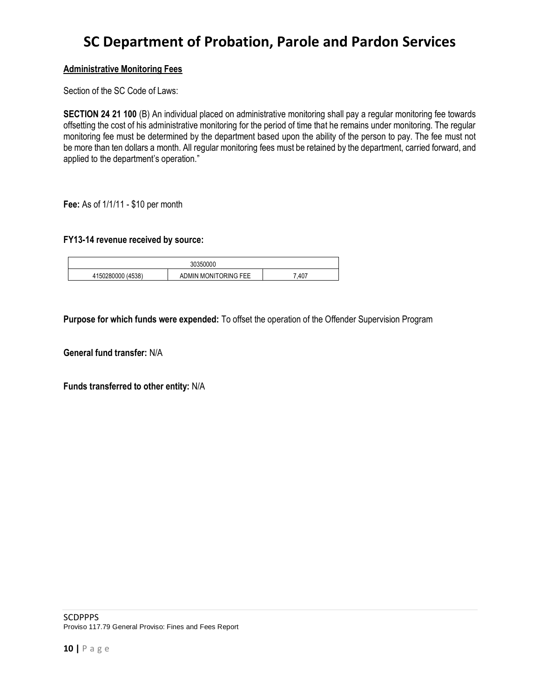#### **Administrative Monitoring Fees**

Section of the SC Code of Laws:

**SECTION 24 21 100** (B) An individual placed on administrative monitoring shall pay a regular monitoring fee towards offsetting the cost of his administrative monitoring for the period of time that he remains under monitoring. The regular monitoring fee must be determined by the department based upon the ability of the person to pay. The fee must not be more than ten dollars a month. All regular monitoring fees must be retained by the department, carried forward, and applied to the department's operation."

**Fee:** As of 1/1/11 - \$10 per month

#### **FY13-14 revenue received by source:**

|                     | 350000<br>.3U.:           |      |
|---------------------|---------------------------|------|
| (4538)<br>150280000 | I MONITORING FEE<br>ADMIN | .407 |

**Purpose for which funds were expended:** To offset the operation of the Offender Supervision Program

**General fund transfer:** N/A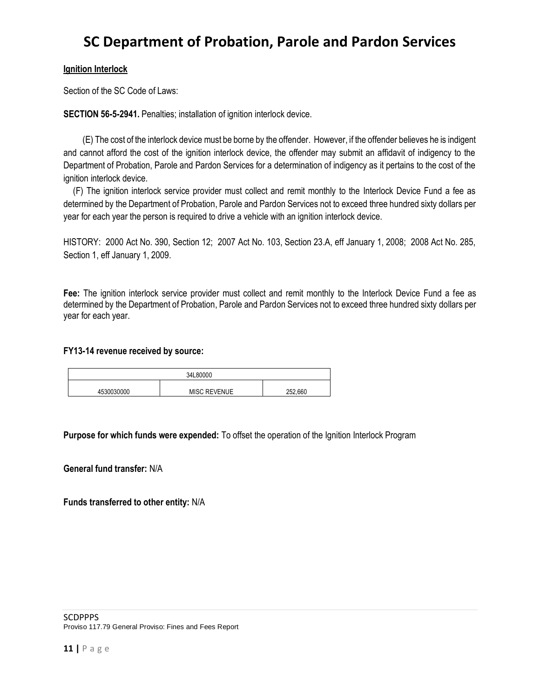#### **Ignition Interlock**

Section of the SC Code of Laws:

**SECTION 56-5-2941.** Penalties; installation of ignition interlock device.

(E) The cost of the interlock device must be borne by the offender. However, if the offender believes he is indigent and cannot afford the cost of the ignition interlock device, the offender may submit an affidavit of indigency to the Department of Probation, Parole and Pardon Services for a determination of indigency as it pertains to the cost of the ignition interlock device.

(F) The ignition interlock service provider must collect and remit monthly to the Interlock Device Fund a fee as determined by the Department of Probation, Parole and Pardon Services not to exceed three hundred sixty dollars per year for each year the person is required to drive a vehicle with an ignition interlock device.

HISTORY: 2000 Act No. 390, Section 12; 2007 Act No. 103, Section 23.A, eff January 1, 2008; 2008 Act No. 285, Section 1, eff January 1, 2009.

**Fee:** The ignition interlock service provider must collect and remit monthly to the Interlock Device Fund a fee as determined by the Department of Probation, Parole and Pardon Services not to exceed three hundred sixty dollars per year for each year.

#### **FY13-14 revenue received by source:**

|            | 34L80000            |         |
|------------|---------------------|---------|
| 4530030000 | <b>MISC REVENUE</b> | 252.660 |

**Purpose for which funds were expended:** To offset the operation of the Ignition Interlock Program

**General fund transfer:** N/A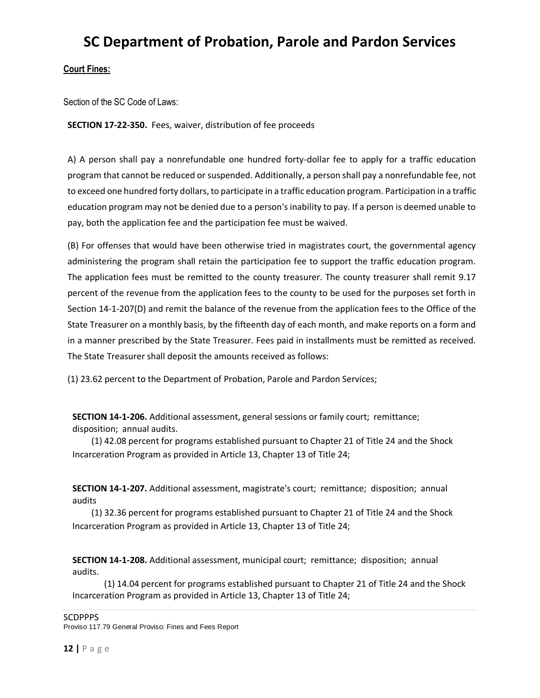#### **Court Fines:**

Section of the SC Code of Laws:

**SECTION 17-22-350.** Fees, waiver, distribution of fee proceeds

A) A person shall pay a nonrefundable one hundred forty-dollar fee to apply for a traffic education program that cannot be reduced or suspended. Additionally, a person shall pay a nonrefundable fee, not to exceed one hundred forty dollars, to participate in a traffic education program. Participation in a traffic education program may not be denied due to a person's inability to pay. If a person is deemed unable to pay, both the application fee and the participation fee must be waived.

(B) For offenses that would have been otherwise tried in magistrates court, the governmental agency administering the program shall retain the participation fee to support the traffic education program. The application fees must be remitted to the county treasurer. The county treasurer shall remit 9.17 percent of the revenue from the application fees to the county to be used for the purposes set forth in Section 14-1-207(D) and remit the balance of the revenue from the application fees to the Office of the State Treasurer on a monthly basis, by the fifteenth day of each month, and make reports on a form and in a manner prescribed by the State Treasurer. Fees paid in installments must be remitted as received. The State Treasurer shall deposit the amounts received as follows:

(1) 23.62 percent to the Department of Probation, Parole and Pardon Services;

**SECTION 14-1-206.** Additional assessment, general sessions or family court; remittance; disposition; annual audits.

(1) 42.08 percent for programs established pursuant to Chapter 21 of Title 24 and the Shock Incarceration Program as provided in Article 13, Chapter 13 of Title 24;

**SECTION 14-1-207.** Additional assessment, magistrate's court; remittance; disposition; annual audits

(1) 32.36 percent for programs established pursuant to Chapter 21 of Title 24 and the Shock Incarceration Program as provided in Article 13, Chapter 13 of Title 24;

**SECTION 14-1-208.** Additional assessment, municipal court; remittance; disposition; annual audits.

(1) 14.04 percent for programs established pursuant to Chapter 21 of Title 24 and the Shock Incarceration Program as provided in Article 13, Chapter 13 of Title 24;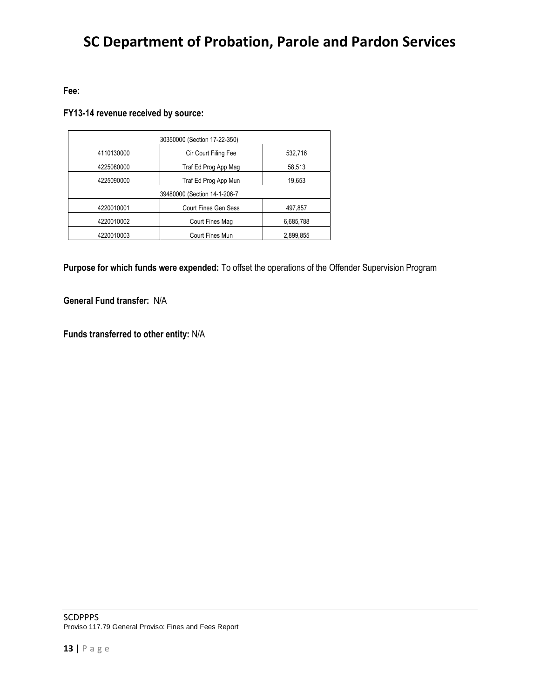### **Fee:**

### **FY13-14 revenue received by source:**

| 30350000 (Section 17-22-350) |                             |           |
|------------------------------|-----------------------------|-----------|
| 4110130000                   | Cir Court Filing Fee        | 532,716   |
| 4225080000                   | Traf Ed Prog App Mag        | 58,513    |
| 4225090000                   | Traf Ed Prog App Mun        | 19,653    |
| 39480000 (Section 14-1-206-7 |                             |           |
| 4220010001                   | <b>Court Fines Gen Sess</b> | 497,857   |
| 4220010002                   | Court Fines Mag             | 6,685,788 |
| 4220010003                   | <b>Court Fines Mun</b>      | 2,899,855 |

**Purpose for which funds were expended:** To offset the operations of the Offender Supervision Program

**General Fund transfer:** N/A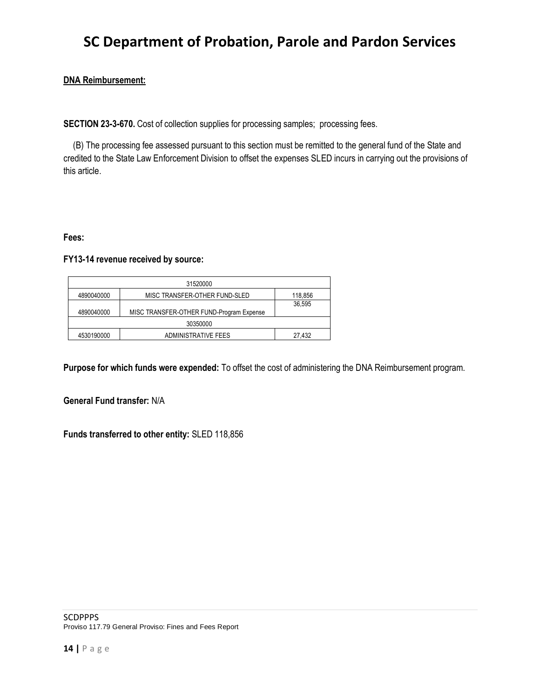#### **DNA Reimbursement:**

**SECTION 23-3-670.** Cost of collection supplies for processing samples; processing fees.

(B) The processing fee assessed pursuant to this section must be remitted to the general fund of the State and credited to the State Law Enforcement Division to offset the expenses SLED incurs in carrying out the provisions of this article.

#### **Fees:**

#### **FY13-14 revenue received by source:**

| 31520000   |                                          |         |
|------------|------------------------------------------|---------|
| 4890040000 | MISC TRANSFER-OTHER FUND-SLED            | 118,856 |
|            |                                          | 36.595  |
| 4890040000 | MISC TRANSFER-OTHER FUND-Program Expense |         |
| 30350000   |                                          |         |
| 4530190000 | ADMINISTRATIVE FEES                      | 27.432  |

**Purpose for which funds were expended:** To offset the cost of administering the DNA Reimbursement program.

#### **General Fund transfer:** N/A

**Funds transferred to other entity:** SLED 118,856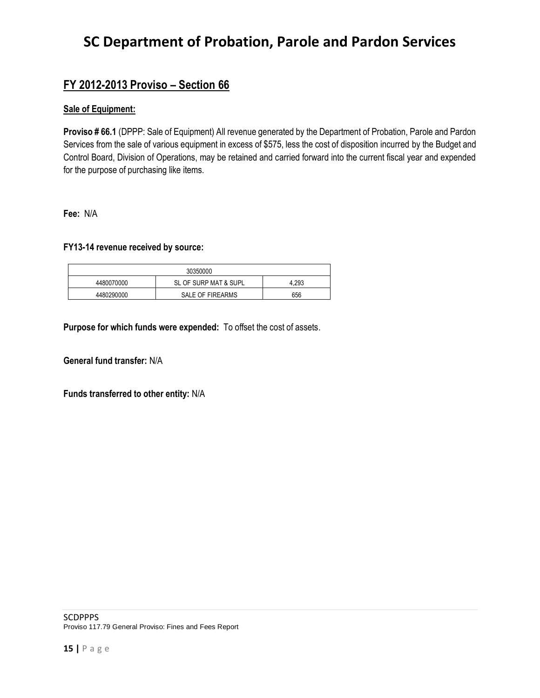### **FY 2012-2013 Proviso – Section 66**

#### **Sale of Equipment:**

**Proviso # 66.1** (DPPP: Sale of Equipment) All revenue generated by the Department of Probation, Parole and Pardon Services from the sale of various equipment in excess of \$575, less the cost of disposition incurred by the Budget and Control Board, Division of Operations, may be retained and carried forward into the current fiscal year and expended for the purpose of purchasing like items.

**Fee:** N/A

#### **FY13-14 revenue received by source:**

| 30350000   |                       |       |  |
|------------|-----------------------|-------|--|
| 4480070000 | SL OF SURP MAT & SUPL | 4.293 |  |
| 4480290000 | SALE OF FIREARMS      | 656   |  |

**Purpose for which funds were expended:** To offset the cost of assets.

**General fund transfer:** N/A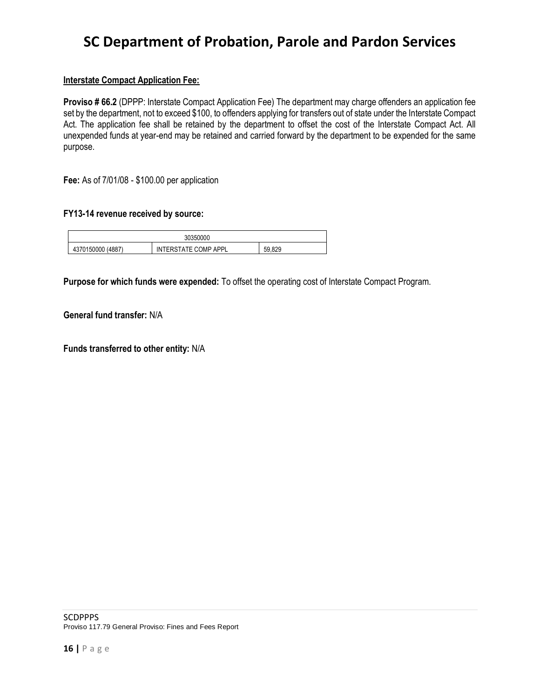#### **Interstate Compact Application Fee:**

**Proviso # 66.2** (DPPP: Interstate Compact Application Fee) The department may charge offenders an application fee set by the department, not to exceed \$100, to offenders applying for transfers out of state under the Interstate Compact Act. The application fee shall be retained by the department to offset the cost of the Interstate Compact Act. All unexpended funds at year-end may be retained and carried forward by the department to be expended for the same purpose.

**Fee:** As of 7/01/08 - \$100.00 per application

#### **FY13-14 revenue received by source:**

| 30350000           |                      |            |
|--------------------|----------------------|------------|
| (4887<br>370150000 | INTERSTATE COMP APPL | 50<br>.829 |

**Purpose for which funds were expended:** To offset the operating cost of Interstate Compact Program.

**General fund transfer:** N/A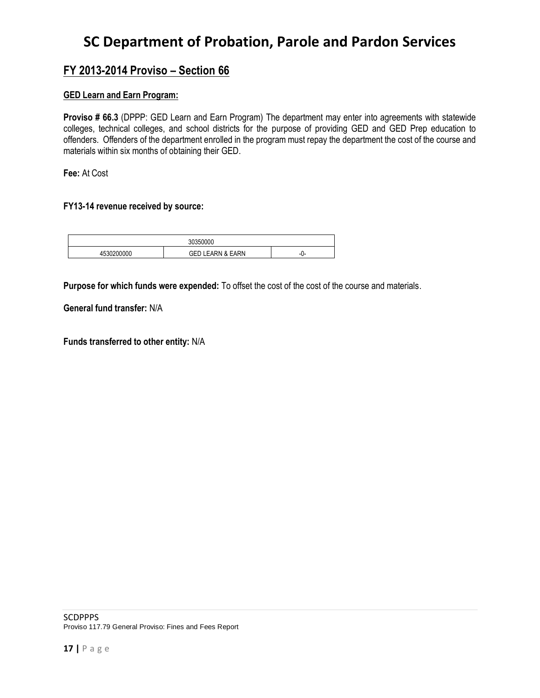### **FY 2013-2014 Proviso – Section 66**

#### **GED Learn and Earn Program:**

**Proviso # 66.3** (DPPP: GED Learn and Earn Program) The department may enter into agreements with statewide colleges, technical colleges, and school districts for the purpose of providing GED and GED Prep education to offenders. Offenders of the department enrolled in the program must repay the department the cost of the course and materials within six months of obtaining their GED.

**Fee:** At Cost

#### **FY13-14 revenue received by source:**

| 'JUU  |                             |                  |
|-------|-----------------------------|------------------|
| 00000 | <b>GED LEARN &amp; EARN</b> | -1<br>$\cdot$ 1- |

**Purpose for which funds were expended:** To offset the cost of the cost of the course and materials.

**General fund transfer:** N/A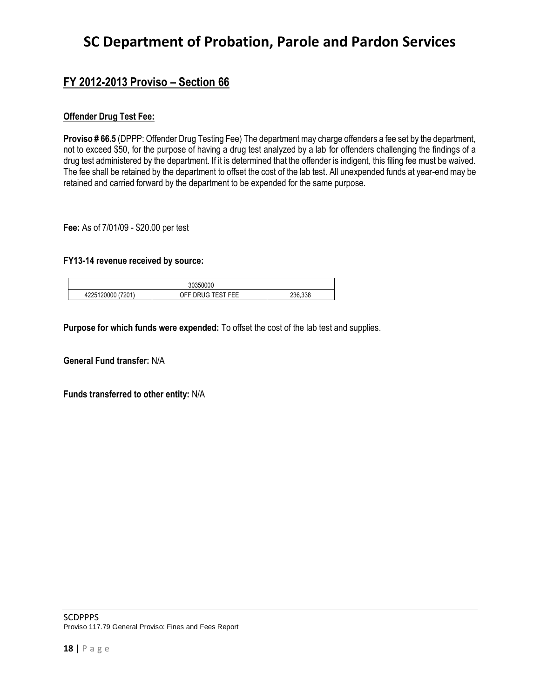### **FY 2012-2013 Proviso – Section 66**

#### **Offender Drug Test Fee:**

**Proviso # 66.5** (DPPP: Offender Drug Testing Fee) The department may charge offenders a fee set by the department, not to exceed \$50, for the purpose of having a drug test analyzed by a lab for offenders challenging the findings of a drug test administered by the department. If it is determined that the offender is indigent, this filing fee must be waived. The fee shall be retained by the department to offset the cost of the lab test. All unexpended funds at year-end may be retained and carried forward by the department to be expended for the same purpose.

**Fee:** As of 7/01/09 - \$20.00 per test

#### **FY13-14 revenue received by source:**

| 0.000<br>30350000    |                        |         |  |  |
|----------------------|------------------------|---------|--|--|
| (7201)<br>4225120000 | DRUG TEST FEE<br>JFF Г | 236.338 |  |  |

**Purpose for which funds were expended:** To offset the cost of the lab test and supplies.

**General Fund transfer:** N/A